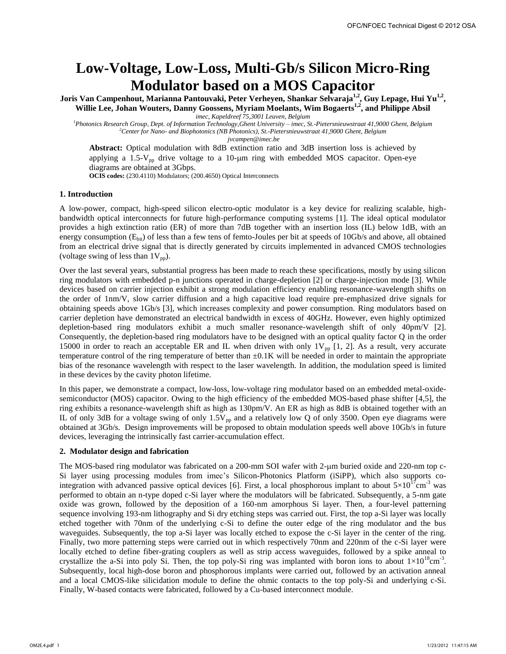# **Low-Voltage, Low-Loss, Multi-Gb/s Silicon Micro-Ring Modulator based on a MOS Capacitor**

**Joris Van Campenhout, Marianna Pantouvaki, Peter Verheyen, Shankar Selvaraja1,2 , Guy Lepage, Hui Yu1,2 , Willie Lee, Johan Wouters, Danny Goossens, Myriam Moelants, Wim Bogaerts1,2, and Philippe Absil** 

*imec, Kapeldreef 75,3001 Leuven, Belgium* 

*<sup>1</sup>Photonics Research Group, Dept. of Information Technology,Ghent University – imec, St.-Pietersnieuwstraat 41,9000 Ghent, Belgium <sup>2</sup>Center for Nano- and Biophotonics (NB Photonics), St.-Pietersnieuwstraat 41,9000 Ghent, Belgium jvcampen@imec.be*

**Abstract:** Optical modulation with 8dB extinction ratio and 3dB insertion loss is achieved by applying a  $1.5$ -V<sub>pp</sub> drive voltage to a  $10$ - $\mu$ m ring with embedded MOS capacitor. Open-eye diagrams are obtained at 3Gbps.

**OCIS codes:** (230.4110) Modulators; (200.4650) Optical Interconnects

## **1. Introduction**

A low-power, compact, high-speed silicon electro-optic modulator is a key device for realizing scalable, highbandwidth optical interconnects for future high-performance computing systems [1]. The ideal optical modulator provides a high extinction ratio (ER) of more than 7dB together with an insertion loss (IL) below 1dB, with an energy consumption  $(E<sub>bit</sub>)$  of less than a few tens of femto-Joules per bit at speeds of 10Gb/s and above, all obtained from an electrical drive signal that is directly generated by circuits implemented in advanced CMOS technologies (voltage swing of less than  $1V_{\text{pp}}$ ).

Over the last several years, substantial progress has been made to reach these specifications, mostly by using silicon ring modulators with embedded p-n junctions operated in charge-depletion [2] or charge-injection mode [3]. While devices based on carrier injection exhibit a strong modulation efficiency enabling resonance-wavelength shifts on the order of 1nm/V, slow carrier diffusion and a high capacitive load require pre-emphasized drive signals for obtaining speeds above 1Gb/s [3], which increases complexity and power consumption. Ring modulators based on carrier depletion have demonstrated an electrical bandwidth in excess of 40GHz. However, even highly optimized depletion-based ring modulators exhibit a much smaller resonance-wavelength shift of only 40pm/V [2]. Consequently, the depletion-based ring modulators have to be designed with an optical quality factor Q in the order 15000 in order to reach an acceptable ER and IL when driven with only  $1V_{pp}$  [1, 2]. As a result, very accurate temperature control of the ring temperature of better than  $\pm 0.1$ K will be needed in order to maintain the appropriate bias of the resonance wavelength with respect to the laser wavelength. In addition, the modulation speed is limited in these devices by the cavity photon lifetime.

In this paper, we demonstrate a compact, low-loss, low-voltage ring modulator based on an embedded metal-oxidesemiconductor (MOS) capacitor. Owing to the high efficiency of the embedded MOS-based phase shifter [4,5], the ring exhibits a resonance-wavelength shift as high as 130pm/V. An ER as high as 8dB is obtained together with an IL of only 3dB for a voltage swing of only  $1.5V_{pp}$  and a relatively low Q of only 3500. Open eye diagrams were obtained at 3Gb/s. Design improvements will be proposed to obtain modulation speeds well above 10Gb/s in future devices, leveraging the intrinsically fast carrier-accumulation effect.

### **2. Modulator design and fabrication**

The MOS-based ring modulator was fabricated on a 200-mm SOI wafer with 2-um buried oxide and 220-nm top c-Si layer using processing modules from imec's Silicon-Photonics Platform (iSiPP), which also supports cointegration with advanced passive optical devices [6]. First, a local phosphorous implant to about  $5\times10^{17}$ cm<sup>-3</sup> was performed to obtain an n-type doped c-Si layer where the modulators will be fabricated. Subsequently, a 5-nm gate oxide was grown, followed by the deposition of a 160-nm amorphous Si layer. Then, a four-level patterning sequence involving 193-nm lithography and Si dry etching steps was carried out. First, the top a-Si layer was locally etched together with 70nm of the underlying c-Si to define the outer edge of the ring modulator and the bus waveguides. Subsequently, the top a-Si layer was locally etched to expose the c-Si layer in the center of the ring. Finally, two more patterning steps were carried out in which respectively 70nm and 220nm of the c-Si layer were locally etched to define fiber-grating couplers as well as strip access waveguides, followed by a spike anneal to crystallize the a-Si into poly Si. Then, the top poly-Si ring was implanted with boron ions to about  $1 \times 10^{18}$ cm<sup>-3</sup>. Subsequently, local high-dose boron and phosphorous implants were carried out, followed by an activation anneal and a local CMOS-like silicidation module to define the ohmic contacts to the top poly-Si and underlying c-Si. Finally, W-based contacts were fabricated, followed by a Cu-based interconnect module.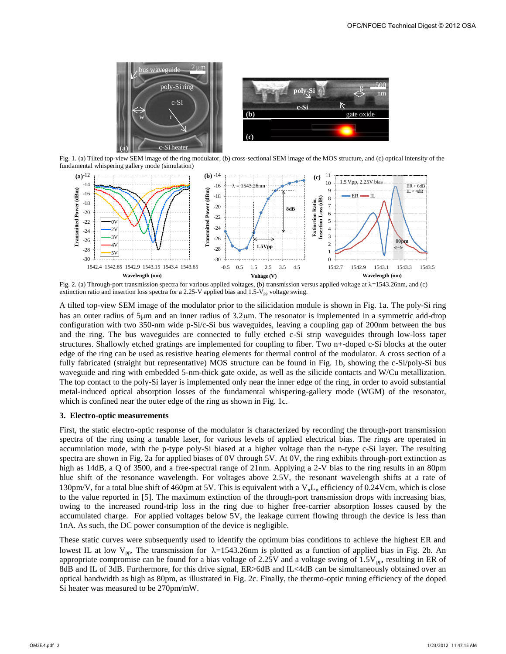

Fig. 1. (a) Tilted top-view SEM image of the ring modulator, (b) cross-sectional SEM image of the MOS structure, and (c) optical intensity of the fundamental whispering gallery mode (simulation)



Fig. 2. (a) Through-port transmission spectra for various applied voltages, (b) transmission versus applied voltage at  $\lambda$ =1543.26nm, and (c) extinction ratio and insertion loss spectra for a 2.25-V applied bias and 1.5-V<sub>pp</sub> voltage swing.

A tilted top-view SEM image of the modulator prior to the silicidation module is shown in Fig. 1a. The poly-Si ring has an outer radius of 5µm and an inner radius of 3.2µm. The resonator is implemented in a symmetric add-drop configuration with two 350-nm wide p-Si/c-Si bus waveguides, leaving a coupling gap of 200nm between the bus and the ring. The bus waveguides are connected to fully etched c-Si strip waveguides through low-loss taper structures. Shallowly etched gratings are implemented for coupling to fiber. Two n+-doped c-Si blocks at the outer edge of the ring can be used as resistive heating elements for thermal control of the modulator. A cross section of a fully fabricated (straight but representative) MOS structure can be found in Fig. 1b, showing the c-Si/poly-Si bus waveguide and ring with embedded 5-nm-thick gate oxide, as well as the silicide contacts and W/Cu metallization. The top contact to the poly-Si layer is implemented only near the inner edge of the ring, in order to avoid substantial metal-induced optical absorption losses of the fundamental whispering-gallery mode (WGM) of the resonator, which is confined near the outer edge of the ring as shown in Fig. 1c.

#### **3. Electro-optic measurements**

First, the static electro-optic response of the modulator is characterized by recording the through-port transmission spectra of the ring using a tunable laser, for various levels of applied electrical bias. The rings are operated in accumulation mode, with the p-type poly-Si biased at a higher voltage than the n-type c-Si layer. The resulting spectra are shown in Fig. 2a for applied biases of 0V through 5V. At 0V, the ring exhibits through-port extinction as high as 14dB, a Q of 3500, and a free-spectral range of 21nm. Applying a 2-V bias to the ring results in an 80pm blue shift of the resonance wavelength. For voltages above 2.5V, the resonant wavelength shifts at a rate of 130pm/V, for a total blue shift of 460pm at 5V. This is equivalent with a  $V_{\pi}L_{\pi}$  efficiency of 0.24Vcm, which is close to the value reported in [5]. The maximum extinction of the through-port transmission drops with increasing bias, owing to the increased round-trip loss in the ring due to higher free-carrier absorption losses caused by the accumulated charge. For applied voltages below 5V, the leakage current flowing through the device is less than 1nA. As such, the DC power consumption of the device is negligible.

These static curves were subsequently used to identify the optimum bias conditions to achieve the highest ER and lowest IL at low  $V_{\text{pp}}$ . The transmission for  $\lambda=1543.26$  in is plotted as a function of applied bias in Fig. 2b. An appropriate compromise can be found for a bias voltage of 2.25V and a voltage swing of  $1.5V_{pp}$ , resulting in ER of 8dB and IL of 3dB. Furthermore, for this drive signal,  $ER > 6d$ B and IL <4dB can be simultaneously obtained over an optical bandwidth as high as 80pm, as illustrated in Fig. 2c. Finally, the thermo-optic tuning efficiency of the doped Si heater was measured to be 270pm/mW.